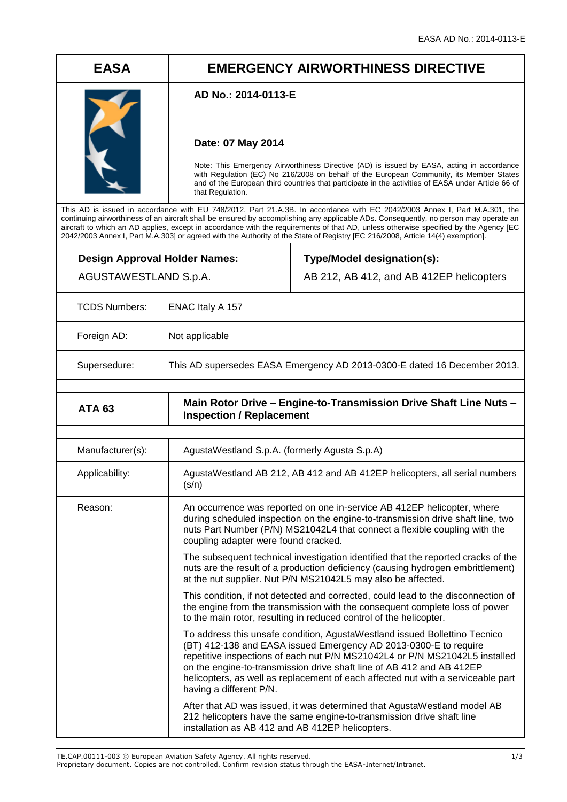# **EASA EMERGENCY AIRWORTHINESS DIRECTIVE**

### **AD No.: 2014-0113-E**

### **Date: 07 May 2014**

Note: This Emergency Airworthiness Directive (AD) is issued by EASA, acting in accordance with Regulation (EC) No 216/2008 on behalf of the European Community, its Member States and of the European third countries that participate in the activities of EASA under Article 66 of that Regulation.

This AD is issued in accordance with EU 748/2012, Part 21.A.3B. In accordance with EC 2042/2003 Annex I, Part M.A.301, the continuing airworthiness of an aircraft shall be ensured by accomplishing any applicable ADs. Consequently, no person may operate an aircraft to which an AD applies, except in accordance with the requirements of that AD, unless otherwise specified by the Agency [EC 2042/2003 Annex I, Part M.A.303] or agreed with the Authority of the State of Registry [EC 216/2008, Article 14(4) exemption].

**Design Approval Holder Names:** AGUSTAWESTLAND S.p.A.

## **Type/Model designation(s):**

AB 212, AB 412, and AB 412EP helicopters

TCDS Numbers: ENAC Italy A 157

Foreign AD: Not applicable

Supersedure: This AD supersedes EASA Emergency AD 2013-0300-E dated 16 December 2013.

| <b>ATA 63</b> | Main Rotor Drive - Engine-to-Transmission Drive Shaft Line Nuts -<br><b>Inspection / Replacement</b> |
|---------------|------------------------------------------------------------------------------------------------------|

| Manufacturer(s): | AgustaWestland S.p.A. (formerly Agusta S.p.A)                                                                                                                                                                                                                                                                                                                                                                         |
|------------------|-----------------------------------------------------------------------------------------------------------------------------------------------------------------------------------------------------------------------------------------------------------------------------------------------------------------------------------------------------------------------------------------------------------------------|
| Applicability:   | AgustaWestland AB 212, AB 412 and AB 412EP helicopters, all serial numbers<br>(s/n)                                                                                                                                                                                                                                                                                                                                   |
| Reason:          | An occurrence was reported on one in-service AB 412EP helicopter, where<br>during scheduled inspection on the engine-to-transmission drive shaft line, two<br>nuts Part Number (P/N) MS21042L4 that connect a flexible coupling with the<br>coupling adapter were found cracked.                                                                                                                                      |
|                  | The subsequent technical investigation identified that the reported cracks of the<br>nuts are the result of a production deficiency (causing hydrogen embrittlement)<br>at the nut supplier. Nut P/N MS21042L5 may also be affected.                                                                                                                                                                                  |
|                  | This condition, if not detected and corrected, could lead to the disconnection of<br>the engine from the transmission with the consequent complete loss of power<br>to the main rotor, resulting in reduced control of the helicopter.                                                                                                                                                                                |
|                  | To address this unsafe condition, AgustaWestland issued Bollettino Tecnico<br>(BT) 412-138 and EASA issued Emergency AD 2013-0300-E to require<br>repetitive inspections of each nut P/N MS21042L4 or P/N MS21042L5 installed<br>on the engine-to-transmission drive shaft line of AB 412 and AB 412EP<br>helicopters, as well as replacement of each affected nut with a serviceable part<br>having a different P/N. |
|                  | After that AD was issued, it was determined that AgustaWestland model AB<br>212 helicopters have the same engine-to-transmission drive shaft line<br>installation as AB 412 and AB 412EP helicopters.                                                                                                                                                                                                                 |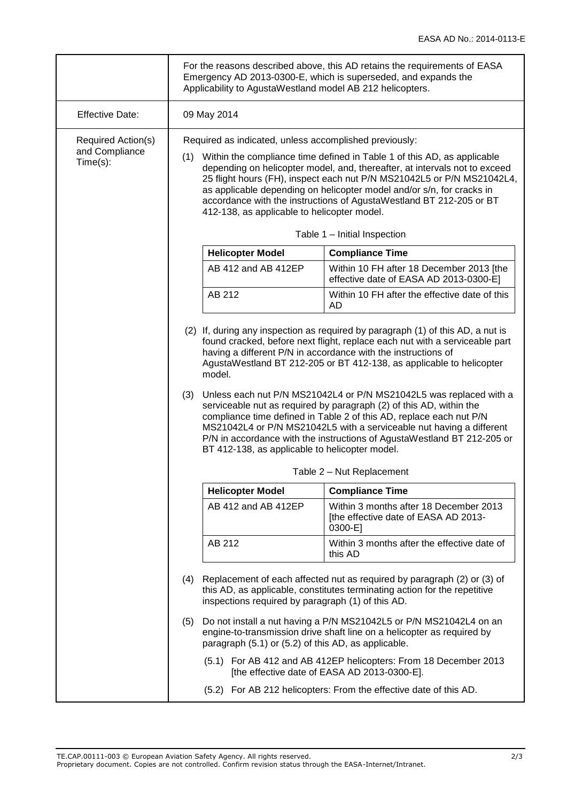|                                                  | For the reasons described above, this AD retains the requirements of EASA<br>Emergency AD 2013-0300-E, which is superseded, and expands the<br>Applicability to AgustaWestland model AB 212 helicopters.                                                                                                                                                                                                                                                                                                                                                                                                                                                                                        |                                                     |                                                                                                                                                      |  |  |
|--------------------------------------------------|-------------------------------------------------------------------------------------------------------------------------------------------------------------------------------------------------------------------------------------------------------------------------------------------------------------------------------------------------------------------------------------------------------------------------------------------------------------------------------------------------------------------------------------------------------------------------------------------------------------------------------------------------------------------------------------------------|-----------------------------------------------------|------------------------------------------------------------------------------------------------------------------------------------------------------|--|--|
| <b>Effective Date:</b>                           | 09 May 2014                                                                                                                                                                                                                                                                                                                                                                                                                                                                                                                                                                                                                                                                                     |                                                     |                                                                                                                                                      |  |  |
| Required Action(s)<br>and Compliance<br>Time(s): | Required as indicated, unless accomplished previously:<br>(1) Within the compliance time defined in Table 1 of this AD, as applicable<br>depending on helicopter model, and, thereafter, at intervals not to exceed<br>25 flight hours (FH), inspect each nut P/N MS21042L5 or P/N MS21042L4,<br>as applicable depending on helicopter model and/or s/n, for cracks in<br>accordance with the instructions of AgustaWestland BT 212-205 or BT<br>412-138, as applicable to helicopter model.                                                                                                                                                                                                    |                                                     |                                                                                                                                                      |  |  |
|                                                  |                                                                                                                                                                                                                                                                                                                                                                                                                                                                                                                                                                                                                                                                                                 |                                                     | Table 1 - Initial Inspection                                                                                                                         |  |  |
|                                                  |                                                                                                                                                                                                                                                                                                                                                                                                                                                                                                                                                                                                                                                                                                 | <b>Helicopter Model</b>                             | <b>Compliance Time</b>                                                                                                                               |  |  |
|                                                  |                                                                                                                                                                                                                                                                                                                                                                                                                                                                                                                                                                                                                                                                                                 | AB 412 and AB 412EP                                 | Within 10 FH after 18 December 2013 [the<br>effective date of EASA AD 2013-0300-E]                                                                   |  |  |
|                                                  |                                                                                                                                                                                                                                                                                                                                                                                                                                                                                                                                                                                                                                                                                                 | AB 212                                              | Within 10 FH after the effective date of this<br>AD.                                                                                                 |  |  |
|                                                  | (2) If, during any inspection as required by paragraph (1) of this AD, a nut is<br>found cracked, before next flight, replace each nut with a serviceable part<br>having a different P/N in accordance with the instructions of<br>AgustaWestland BT 212-205 or BT 412-138, as applicable to helicopter<br>model.<br>Unless each nut P/N MS21042L4 or P/N MS21042L5 was replaced with a<br>(3)<br>serviceable nut as required by paragraph (2) of this AD, within the<br>compliance time defined in Table 2 of this AD, replace each nut P/N<br>MS21042L4 or P/N MS21042L5 with a serviceable nut having a different<br>P/N in accordance with the instructions of AgustaWestland BT 212-205 or |                                                     |                                                                                                                                                      |  |  |
|                                                  |                                                                                                                                                                                                                                                                                                                                                                                                                                                                                                                                                                                                                                                                                                 | BT 412-138, as applicable to helicopter model.      |                                                                                                                                                      |  |  |
|                                                  |                                                                                                                                                                                                                                                                                                                                                                                                                                                                                                                                                                                                                                                                                                 | Table 2 - Nut Replacement                           |                                                                                                                                                      |  |  |
|                                                  |                                                                                                                                                                                                                                                                                                                                                                                                                                                                                                                                                                                                                                                                                                 | <b>Helicopter Model</b>                             | <b>Compliance Time</b>                                                                                                                               |  |  |
|                                                  |                                                                                                                                                                                                                                                                                                                                                                                                                                                                                                                                                                                                                                                                                                 | AB 412 and AB 412EP                                 | Within 3 months after 18 December 2013<br>[the effective date of EASA AD 2013-<br>0300-E1                                                            |  |  |
|                                                  |                                                                                                                                                                                                                                                                                                                                                                                                                                                                                                                                                                                                                                                                                                 | AB 212                                              | Within 3 months after the effective date of<br>this AD                                                                                               |  |  |
|                                                  | (4)                                                                                                                                                                                                                                                                                                                                                                                                                                                                                                                                                                                                                                                                                             | inspections required by paragraph (1) of this AD.   | Replacement of each affected nut as required by paragraph (2) or (3) of<br>this AD, as applicable, constitutes terminating action for the repetitive |  |  |
|                                                  | (5)                                                                                                                                                                                                                                                                                                                                                                                                                                                                                                                                                                                                                                                                                             | paragraph (5.1) or (5.2) of this AD, as applicable. | Do not install a nut having a P/N MS21042L5 or P/N MS21042L4 on an<br>engine-to-transmission drive shaft line on a helicopter as required by         |  |  |
|                                                  |                                                                                                                                                                                                                                                                                                                                                                                                                                                                                                                                                                                                                                                                                                 |                                                     | (5.1) For AB 412 and AB 412EP helicopters: From 18 December 2013<br>[the effective date of EASA AD 2013-0300-E].                                     |  |  |
|                                                  |                                                                                                                                                                                                                                                                                                                                                                                                                                                                                                                                                                                                                                                                                                 |                                                     | (5.2) For AB 212 helicopters: From the effective date of this AD.                                                                                    |  |  |